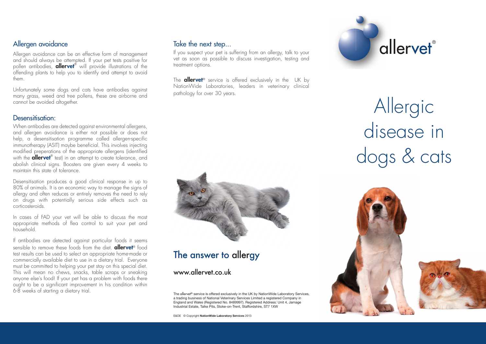#### Allergen avoidance

Allergen avoidance can be an effective form of management and should always be attempted. If your pet tests positive for pollen antibodies, **allervet**® will provide illustrations of the offending plants to help you to identify and attempt to avoid them.

Unfortunately some dogs and cats have antibodies against many grass, weed and tree pollens, these are airborne and cannot be avoided altogether.

#### Desensitisation:

When antibodies are detected against environmental allergens, and allergen avoidance is either not possible or does not help, a desensitisation programme called allergen-specific immunotherapy (ASIT) maybe beneficial. This involves injecting modified preperations of the appropriate allergens (identified with the **allervet**® test) in an attempt to create tolerance, and abolish clinical signs. Boosters are given every 4 weeks to maintain this state of tolerance.

Desensitisation produces a good clinical response in up to 80% of animals. It is an economic way to manage the signs of allergy and often reduces or entirely removes the need to rely on drugs with potentially serious side effects such as corticosteroids.

In cases of FAD your vet will be able to discuss the most appropriate methods of flea control to suit your pet and household.

If antibodies are detected against particular foods it seems sensible to remove these foods from the diet. **allervet**<sup>®</sup> food test results can be used to select an appropriate home-made or commercially available diet to use in a dietary trial. Everyone must be committed to helping your pet stay on this special diet. This will mean no chews, snacks, table scraps or sneaking anyone else's food! If your pet has a problem with foods there ought to be a significant improvement in his condition within 6-8 weeks of starting a dietary trial.

#### Take the next step...

If you suspect your pet is suffering from an allergy, talk to your vet as soon as possible to discuss investigation, testing and treatment options.

The **allervet**<sup>®</sup> service is offered exclusively in the UK by NationWide Laboratories, leaders in veterinary clinical pathology for over 30 years.



## The answer to allergy

www.allervet.co.uk

The allervet® service is offered exclusively in the UK by NationWide Laboratory Services, a trading business of National Veterinary Services Limited a registered Company in England and Wales (Registered No. 8489997). Registered Address: Unit 4, Jamage Industrial Estate, Talke Pits, Stoke-on-Trent, Staffordshire, ST7 1XW

E&OE © Copyright **NationWide Laboratory Services** 2013



Allergic disease in dogs & cats